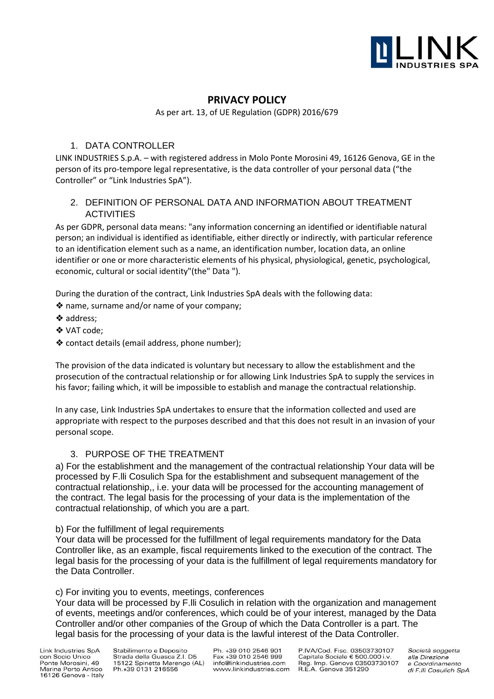

# **PRIVACY POLICY**

As per art. 13, of UE Regulation (GDPR) 2016/679

### 1. DATA CONTROLLER

LINK INDUSTRIES S.p.A. – with registered address in Molo Ponte Morosini 49, 16126 Genova, GE in the person of its pro-tempore legal representative, is the data controller of your personal data ("the Controller" or "Link Industries SpA").

# 2. DEFINITION OF PERSONAL DATA AND INFORMATION ABOUT TREATMENT ACTIVITIES

As per GDPR, personal data means: "any information concerning an identified or identifiable natural person; an individual is identified as identifiable, either directly or indirectly, with particular reference to an identification element such as a name, an identification number, location data, an online identifier or one or more characteristic elements of his physical, physiological, genetic, psychological, economic, cultural or social identity"(the" Data ").

During the duration of the contract, Link Industries SpA deals with the following data:

❖ name, surname and/or name of your company;

- ❖ address;
- ❖ VAT code;
- ❖ contact details (email address, phone number);

The provision of the data indicated is voluntary but necessary to allow the establishment and the prosecution of the contractual relationship or for allowing Link Industries SpA to supply the services in his favor; failing which, it will be impossible to establish and manage the contractual relationship.

In any case, Link Industries SpA undertakes to ensure that the information collected and used are appropriate with respect to the purposes described and that this does not result in an invasion of your personal scope.

#### 3. PURPOSE OF THE TREATMENT

a) For the establishment and the management of the contractual relationship Your data will be processed by F.lli Cosulich Spa for the establishment and subsequent management of the contractual relationship,, i.e. your data will be processed for the accounting management of the contract. The legal basis for the processing of your data is the implementation of the contractual relationship, of which you are a part.

#### b) For the fulfillment of legal requirements

Your data will be processed for the fulfillment of legal requirements mandatory for the Data Controller like, as an example, fiscal requirements linked to the execution of the contract. The legal basis for the processing of your data is the fulfillment of legal requirements mandatory for the Data Controller.

#### c) For inviting you to events, meetings, conferences

Your data will be processed by F.lli Cosulich in relation with the organization and management of events, meetings and/or conferences, which could be of your interest, managed by the Data Controller and/or other companies of the Group of which the Data Controller is a part. The legal basis for the processing of your data is the lawful interest of the Data Controller.

Link Industries SpA con Socio Unico Ponte Morosini, 49 Marina Porto Antico 16126 Genova - Italy

Stabilimento e Deposito Strada della Guasca Z.I. D5 15122 Spinetta Marengo (AL) Ph.+39 0131 216556

Ph. +39 010 2546 901 Fax +39 010 2546 999 info@linkindustries.com www.linkindustries.com

P.IVA/Cod. Fisc. 03503730107 Capitale Sociale € 500.000 i.v Capitale Sociale & 500.0001.v.<br>Reg. Imp. Genova 03503730107<br>R.E.A. Genova 351290

Società soggetta alla Direzione e Coordinamento di F.IIi Cosulich SpA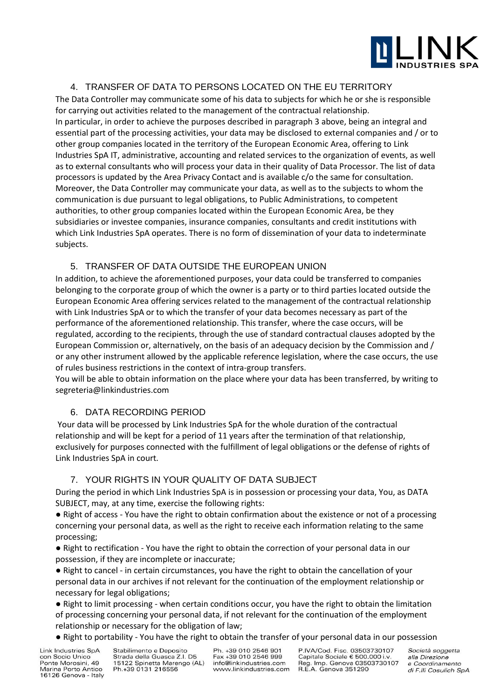

#### 4. TRANSFER OF DATA TO PERSONS LOCATED ON THE EU TERRITORY

The Data Controller may communicate some of his data to subjects for which he or she is responsible for carrying out activities related to the management of the contractual relationship. In particular, in order to achieve the purposes described in paragraph 3 above, being an integral and essential part of the processing activities, your data may be disclosed to external companies and / or to other group companies located in the territory of the European Economic Area, offering to Link Industries SpA IT, administrative, accounting and related services to the organization of events, as well as to external consultants who will process your data in their quality of Data Processor. The list of data processors is updated by the Area Privacy Contact and is available c/o the same for consultation. Moreover, the Data Controller may communicate your data, as well as to the subjects to whom the communication is due pursuant to legal obligations, to Public Administrations, to competent authorities, to other group companies located within the European Economic Area, be they subsidiaries or investee companies, insurance companies, consultants and credit institutions with which Link Industries SpA operates. There is no form of dissemination of your data to indeterminate subjects.

#### 5. TRANSFER OF DATA OUTSIDE THE EUROPEAN UNION

In addition, to achieve the aforementioned purposes, your data could be transferred to companies belonging to the corporate group of which the owner is a party or to third parties located outside the European Economic Area offering services related to the management of the contractual relationship with Link Industries SpA or to which the transfer of your data becomes necessary as part of the performance of the aforementioned relationship. This transfer, where the case occurs, will be regulated, according to the recipients, through the use of standard contractual clauses adopted by the European Commission or, alternatively, on the basis of an adequacy decision by the Commission and / or any other instrument allowed by the applicable reference legislation, where the case occurs, the use of rules business restrictions in the context of intra-group transfers.

You will be able to obtain information on the place where your data has been transferred, by writing to segreteria@linkindustries.com

# 6. DATA RECORDING PERIOD

Your data will be processed by Link Industries SpA for the whole duration of the contractual relationship and will be kept for a period of 11 years after the termination of that relationship, exclusively for purposes connected with the fulfillment of legal obligations or the defense of rights of Link Industries SpA in court.

# 7. YOUR RIGHTS IN YOUR QUALITY OF DATA SUBJECT

During the period in which Link Industries SpA is in possession or processing your data, You, as DATA SUBJECT, may, at any time, exercise the following rights:

● Right of access - You have the right to obtain confirmation about the existence or not of a processing concerning your personal data, as well as the right to receive each information relating to the same processing;

● Right to rectification - You have the right to obtain the correction of your personal data in our possession, if they are incomplete or inaccurate;

● Right to cancel - in certain circumstances, you have the right to obtain the cancellation of your personal data in our archives if not relevant for the continuation of the employment relationship or necessary for legal obligations;

● Right to limit processing - when certain conditions occur, you have the right to obtain the limitation of processing concerning your personal data, if not relevant for the continuation of the employment relationship or necessary for the obligation of law;

● Right to portability - You have the right to obtain the transfer of your personal data in our possession

Link Industries SpA con Socio Unico Ponte Morosini, 49 Marina Porto Antico 16126 Genova - Italy Stabilimento e Deposito Strada della Guasca Z.I. D5 15122 Spinetta Marengo (AL) Ph.+39 0131 216556

Ph. +39 010 2546 901 Fax +39 010 2546 999 info@linkindustries.com www.linkindustries.com

P.IVA/Cod. Fisc. 03503730107 Capitale Sociale € 500.000 i.v Reg. Imp. Genova 03503730107<br>R.E.A. Genova 03503730107

Società soggetta alla Direzione e Coordinamento di F.IIi Cosulich SpA